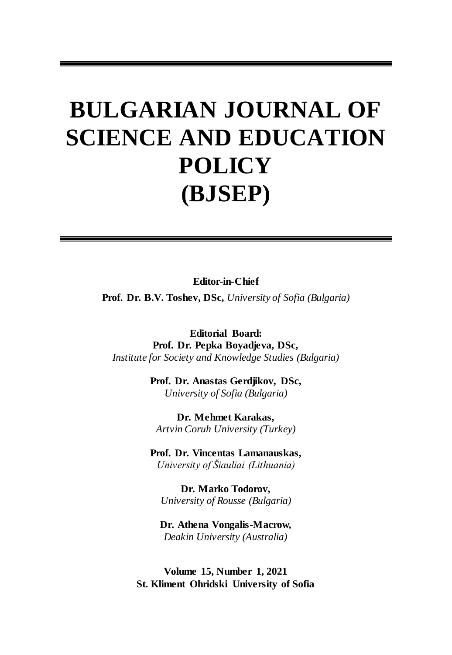# **BULGARIAN JOURNAL OF SCIENCE AND EDUCATION POLICY (BJSEP)**

**Editor-in-Chief**

**Prof. Dr. B.V. Toshev, DSc,** *University of Sofia (Bulgaria)* 

**Editorial Board: Prof. Dr. Pepka Boyadjeva, DSc,**  *Institute for Society and Knowledge Studies (Bulgaria)* 

> **Prof. Dr. Anastas Gerdjikov, DSc,** *University of Sofia (Bulgaria)*

**Dr. Mehmet Karakas,**  *Artvin Coruh University (Turkey)* 

**Prof. Dr. Vincentas Lamanauskas,**  *University of Šiauliai (Lithuania)* 

**Dr. Marko Todorov,**  *University of Rousse (Bulgaria)* 

**Dr. Athena Vongalis-Macrow,**  *Deakin University (Australia)* 

**Volume 15, Number 1, 2021 St. Kliment Ohridski University of Sofia**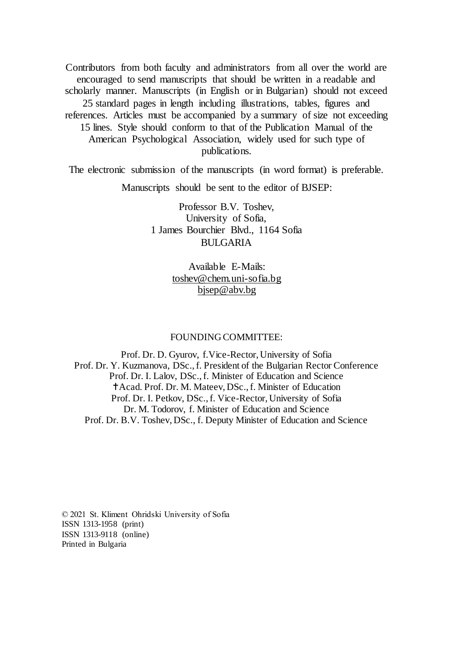Contributors from both faculty and administrators from all over the world are encouraged to send manuscripts that should be written in a readable and scholarly manner. Manuscripts (in English or in Bulgarian) should not exceed 25 standard pages in length including illustrations, tables, figures and references. Articles must be accompanied by a summary of size not exceeding 15 lines. Style should conform to that of the Publication Manual of the American Psychological Association, widely used for such type of publications.

The electronic submission of the manuscripts (in word format) is preferable.

Manuscripts should be sent to the editor of BJSEP:

Professor B.V. Toshev, University of Sofia, 1 James Bourchier Blvd., 1164 Sofia BULGARIA

> Available E-Mails: [toshev@chem.uni-sofia.bg](file://///rumi/DOCUME~1/toshev.IBM/LOCALS~1/Temp/toshev@chem.uni-sofia.bg) [bjsep@abv.bg](mailto:bjsep@abv.bg)

#### FOUNDING COMMITTEE:

Prof. Dr. D. Gyurov, f.Vice-Rector, University of Sofia Prof. Dr. Y. Kuzmanova, DSc., f. President of the Bulgarian Rector Conference Prof. Dr. I. Lalov, DSc., f. Minister of Education and Science Acad. Prof. Dr. M. Mateev, DSc., f. Minister of Education Prof. Dr. I. Petkov, DSc., f. Vice-Rector, University of Sofia Dr. M. Todorov, f. Minister of Education and Science Prof. Dr. B.V. Toshev, DSc., f. Deputy Minister of Education and Science

© 2021 St. Kliment Ohridski University of Sofia ISSN 1313-1958 (print) ISSN 1313-9118 (online) Printed in Bulgaria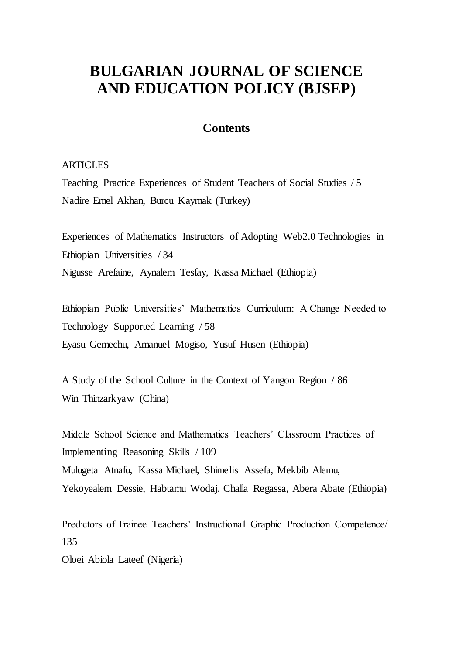# **BULGARIAN JOURNAL OF SCIENCE AND EDUCATION POLICY (BJSEP)**

## **Contents**

### **ARTICLES**

Teaching Practice Experiences of Student Teachers of Social Studies / 5 Nadire Emel Akhan, Burcu Kaymak (Turkey)

Experiences of Mathematics Instructors of Adopting Web2.0 Technologies in Ethiopian Universities / 34 Nigusse Arefaine, Aynalem Tesfay, Kassa Michael (Ethiopia)

Ethiopian Public Universities' Mathematics Curriculum: A Change Needed to Technology Supported Learning / 58 Eyasu Gemechu, Amanuel Mogiso, Yusuf Husen (Ethiopia)

A Study of the School Culture in the Context of Yangon Region / 86 Win Thinzarkyaw (China)

Middle School Science and Mathematics Teachers' Classroom Practices of Implementing Reasoning Skills / 109 Mulugeta Atnafu, Kassa Michael, Shimelis Assefa, Mekbib Alemu, Yekoyealem Dessie, Habtamu Wodaj, Challa Regassa, Abera Abate (Ethiopia)

Predictors of Trainee Teachers' Instructional Graphic Production Competence/ 135

Oloei Abiola Lateef (Nigeria)